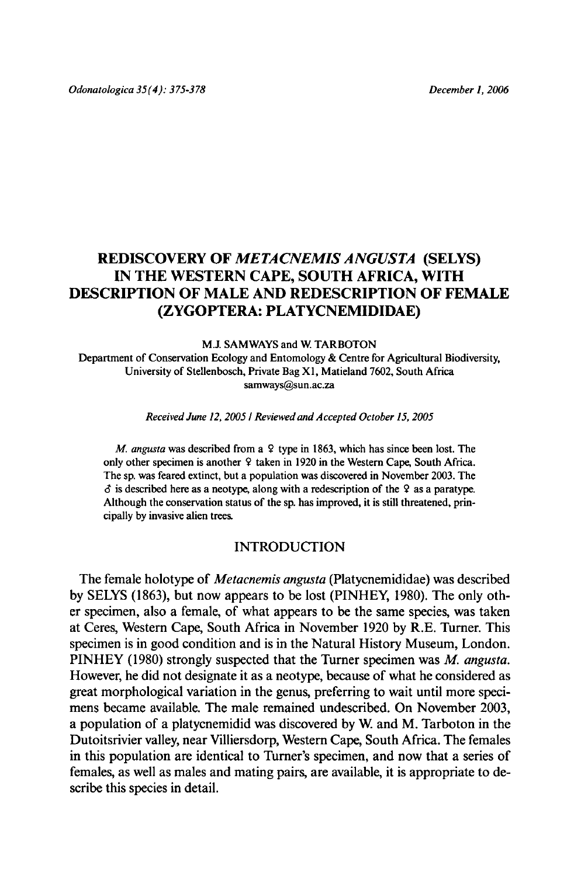# REDISCOVERY OF METACNEMIS ANGUSTA (SELYS) IN THE WESTERN CAPE, SOUTH AFRICA, WITH descriptionofmaleand redescription of female (Zygoptera: Platycnemididae)

M.J. Samways and W. Tarboton Department of Conservation Ecology and Entomology & Centre for Agricultural Biodiversity, University of Stellenbosch,Private Bag X1, Matieland 7602, South Africa samways@sun.ac.za

Received June 12, 2005 / Reviewed and Accepted October 15, 2005

M. angusta was described from a  $9$  type in 1863, which has since been lost. The only other specimen is another <sup>9</sup> taken in <sup>1920</sup> in the Western Cape, SouthAfrica. The sp. was feared extinct, but <sup>a</sup> population was discovered in November 2003. The  $\delta$  is described here as a neotype, along with a redescription of the 9 as a paratype. Although the conservation status of the sp. has improved, it is still threatened, principallyby invasive alien trees.

### INTRODUCTION

The female holotype of Metacnemis angusta (Platycnemididae) was described by SELYS (1863), but now appears to be lost (PINHEY, 1980). The only other specimen, also <sup>a</sup> female, of what appears to be the same species, was taken at Ceres, Western Cape, South Africa in November <sup>1920</sup> by R.E. Turner. This specimen is in good condition and is in the Natural History Museum, London. PINHEY (1980) strongly suspected that the Turner specimen was M. angusta. However, he did not designate it as a neotype, because of what he considered as great morphological variation in the genus, preferring to wait until more specimens became available. The male remained undescribed. On November 2003, a population of <sup>a</sup> platycnemidid was discovered by W. and M. Tarboton in the Dutoitsrivier valley, near Villiersdorp, Western Cape, South Africa. The females in this population are identical to Turner's specimen, and now that a series of females, as well as males and mating pairs, are available, it is appropriate to describe this species in detail.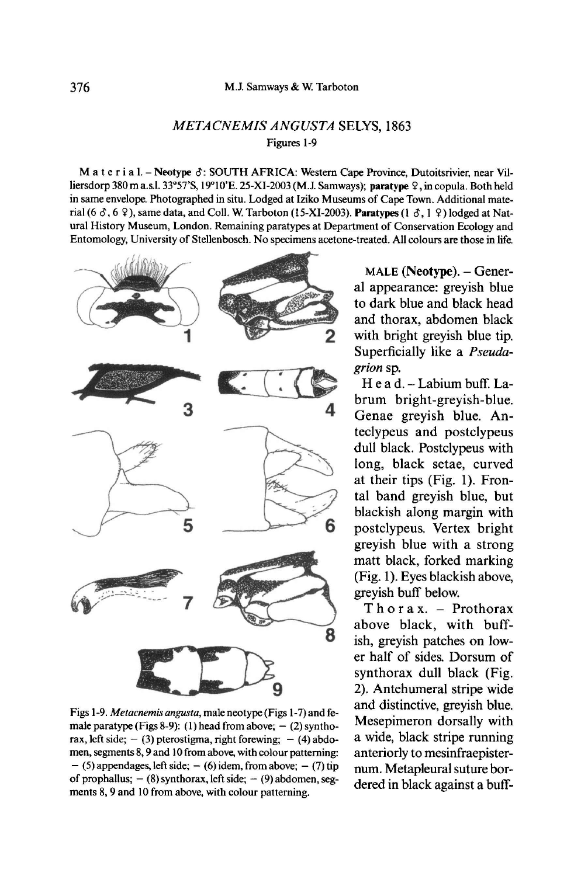## METACNEMIS ANGUSTA SELYS, 1863 Figures 1-9

M a t e r i a  $l$ . - Neotype  $\delta$ : SOUTH AFRICA: Western Cape Province, Dutoitsrivier, near Villiersdorp 380 m a.s.l. 33°57'S, 19°10'E. 25-XI-2003 (M.J. Samways); paratype 9, in copula. Both held in same envelope. Photographedin situ. Lodged at Iziko Museums of Cape Town. Additional material (6  $\delta$ , 6  $\Omega$ ), same data, and Coll. W. Tarboton (15-XI-2003). Paratypes (1  $\delta$ , 1  $\Omega$ ) lodged at Natural History Museum, London. Remaining paratypes at Department of Conservation Ecology and Entomology,University of Stellenbosch. No specimens acetone-treated. All colours are those in life.



Figs 1-9. Metacnemis angusta, male neotype (Figs 1-7) and fe male paratype (Figs 8-9): (1) head from above;  $-$  (2) synthorax, left side;  $-$  (3) pterostigma, right forewing;  $-$  (4) abdo men, segments 8, 9 and 10 from above, with colour patterning:  $-$  (5) appendages, left side;  $-$  (6) idem, from above;  $-$  (7) tip of prophallus;  $-$  (8) synthorax, left side;  $-$  (9) abdomen, segments 8, 9 and <sup>10</sup> from above, with colour patterning.

MALE (Neotype). - General appearance: greyish blue to dark blue and black head and thorax, abdomen black with bright greyish blue tip. Superficially like <sup>a</sup> Pseudagrion sp.

Head.-Labium buff. Labrum bright-greyish-blue. Genae greyish blue. Anteclypeus and postclypeus dull black. Postclypeus with long, black setae, curved at their tips (Pig. 1). Frontal band greyish blue, but blackish along margin with postclypeus. Vertex bright greyish blue with <sup>a</sup> strong matt black, forked marking (Fig. 1). Eyes blackish above, greyish buff below.

Thorax. - Prothorax above black, with buffish, greyish patches on lower half of sides. Dorsum of synthorax dull black (Fig. 2). Antehumeral stripe wide and distinctive, greyish blue. Mesepimeron dorsally with <sup>a</sup> wide, black stripe running anteriorly to mesinfraepisternum. Metapleural suture bordered in black against a buff-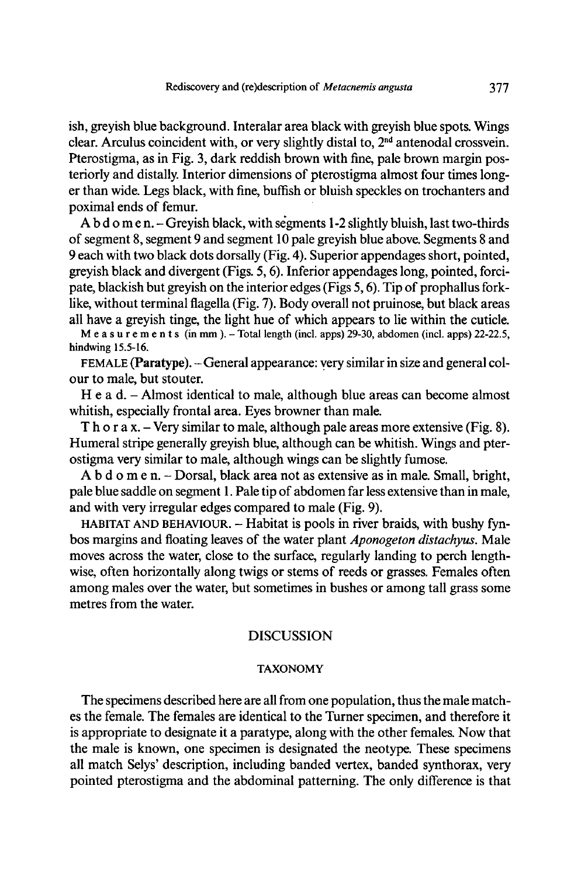ish, greyish blue background. Interalar area black with greyish blue spots. Wings clear. Arculus coincident with, or very slightly distal to,  $2<sup>nd</sup>$  antenodal crossvein. Pterostigma, as in Fig. 3, dark reddish brown with fine, pale brown margin posteriorly and distally. Interior dimensions of pterostigma almost four times longer than wide. Legs black, with fine, buffish or bluish speckles on trochanters and poximal ends of femur.

Abdomen.- Greyish black, withsegments 1-2 slightly bluish, last two-thirds of segment 8, segment <sup>9</sup> and segment <sup>10</sup> pale greyish blueabove. Segments <sup>8</sup> and 9 each with two black dots dorsally (Fig. 4). Superior appendages short, pointed, greyish black and divergent (Figs. 5,6). Inferior appendages long, pointed, fordpate, blackish but greyish on the interior edges (Figs 5,6). Tip of prophallus forklike, without terminal flagella (Fig. 7). Body overall not pruinose, but black areas all have a greyish tinge, the light hue of which appears to liewithin the cuticle.

Measurements (in mm ). -Total length (incl. apps) 29-30, abdomen (incl. apps) 22-22.5, hindwing 15.5-16.

FEMALE (Paratype). - General appearance: very similar in size and general col our to male, but stouter.

H e a d. – Almost identical to male, although blue areas can become almost whitish, especially frontal area. Eyes browner than male.

Thorax. – Very similar to male, although pale areas more extensive (Fig. 8). Humeral stripe generally greyish blue, although can be whitish. Wings and pterostigma very similar to male, although wings can be slightly fumose.

A b d o m e n. – Dorsal, black area not as extensive as in male. Small, bright, pale blue saddle on segment 1. Pale tip of abdomen far less extensive than in male, and with very irregular edges compared to male(Fig. 9).

HABITAT AND BEHAVIOUR. - Habitat is pools in river braids, with bushy fynbos margins and floating leaves of the water plant *Aponogeton distachyus*. Male moves across the water, close to the surface, regularly landing to perch lengthwise, often horizontally along twigs or stems of reeds or grasses. Females often among males over the water, but sometimes in bushes or among tall grass some metres from the water.

### **DISCUSSION**

#### TAXONOMY

The specimens described here are all from one population, thus the malematches the female. The females are identical to the Turner specimen, and therefore it is appropriate to designate it a paratype, along with the other females. Now that the male is known, one specimen is designated the neotype. These specimens all match Selys' description, including banded vertex, banded synthorax, very pointed pterostigma and the abdominal patterning. The only difference is that